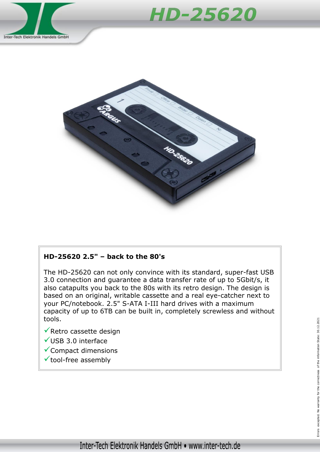





## **HD-25620 2.5" – back to the 80's**

The HD-25620 can not only convince with its standard, super-fast USB 3.0 connection and guarantee a data transfer rate of up to 5Gbit/s, it also catapults you back to the 80s with its retro design. The design is based on an original, writable cassette and a real eye-catcher next to your PC/notebook. 2.5" S-ATA I-III hard drives with a maximum capacity of up to 6TB can be built in, completely screwless and without tools.

- $\sqrt{\overline{R}}$ Retro cassette design
- $V$ USB 3.0 interface
- $\checkmark$  Compact dimensions
- $\checkmark$  tool-free assembly